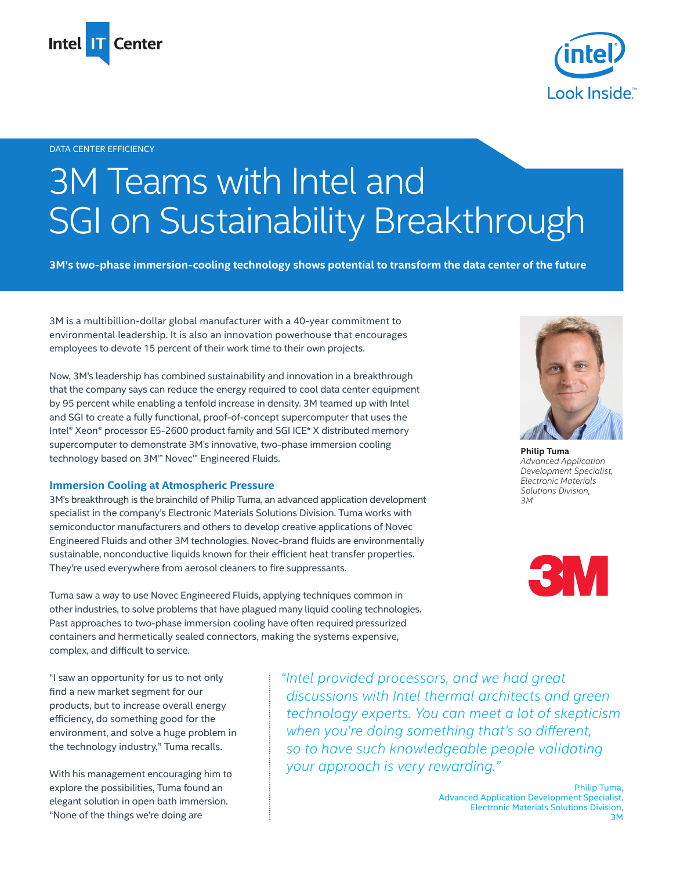



## DATA CENTER EFFICIENCY

# 3M Teams with Intel and SGI on Sustainability Breakthrough

**3M's two-phase immersion-cooling technology shows potential to transform the data center of the future** 

3M is a multibillion-dollar global manufacturer with a 40-year commitment to environmental leadership. It is also an innovation powerhouse that encourages employees to devote 15 percent of their work time to their own projects.

Now, 3M's leadership has combined sustainability and innovation in a breakthrough that the company says can reduce the energy required to cool data center equipment by 95 percent while enabling a tenfold increase in density. 3M teamed up with Intel and SGI to create a fully functional, proof-of-concept supercomputer that uses the Intel® Xeon® processor E5-2600 product family and SGI ICE\* X distributed memory supercomputer to demonstrate 3M's innovative, two-phase immersion cooling technology based on 3M™ Novec™ Engineered Fluids.

## **Immersion Cooling at Atmospheric Pressure**

3M's breakthrough is the brainchild of Philip Tuma, an advanced application development specialist in the company's Electronic Materials Solutions Division. Tuma works with semiconductor manufacturers and others to develop creative applications of Novec Engineered Fluids and other 3M technologies. Novec-brand fluids are environmentally sustainable, nonconductive liquids known for their efficient heat transfer properties. They're used everywhere from aerosol cleaners to fire suppressants.

Tuma saw a way to use Novec Engineered Fluids, applying techniques common in other industries, to solve problems that have plagued many liquid cooling technologies. Past approaches to two-phase immersion cooling have often required pressurized containers and hermetically sealed connectors, making the systems expensive, complex, and difficult to service.



**Philip Tuma** *Advanced Application Development Specialist, Electronic Materials Solutions Division, 3M*



"I saw an opportunity for us to not only find a new market segment for our products, but to increase overall energy efficiency, do something good for the environment, and solve a huge problem in the technology industry," Tuma recalls.

With his management encouraging him to explore the possibilities, Tuma found an elegant solution in open bath immersion. "None of the things we're doing are

*"Intel provided processors, and we had great discussions with Intel thermal architects and green technology experts. You can meet a lot of skepticism when you're doing something that's so different, so to have such knowledgeable people validating your approach is very rewarding."*

> Philip Tuma, Advanced Application Development Specialist, Electronic Materials Solutions Division, 3M